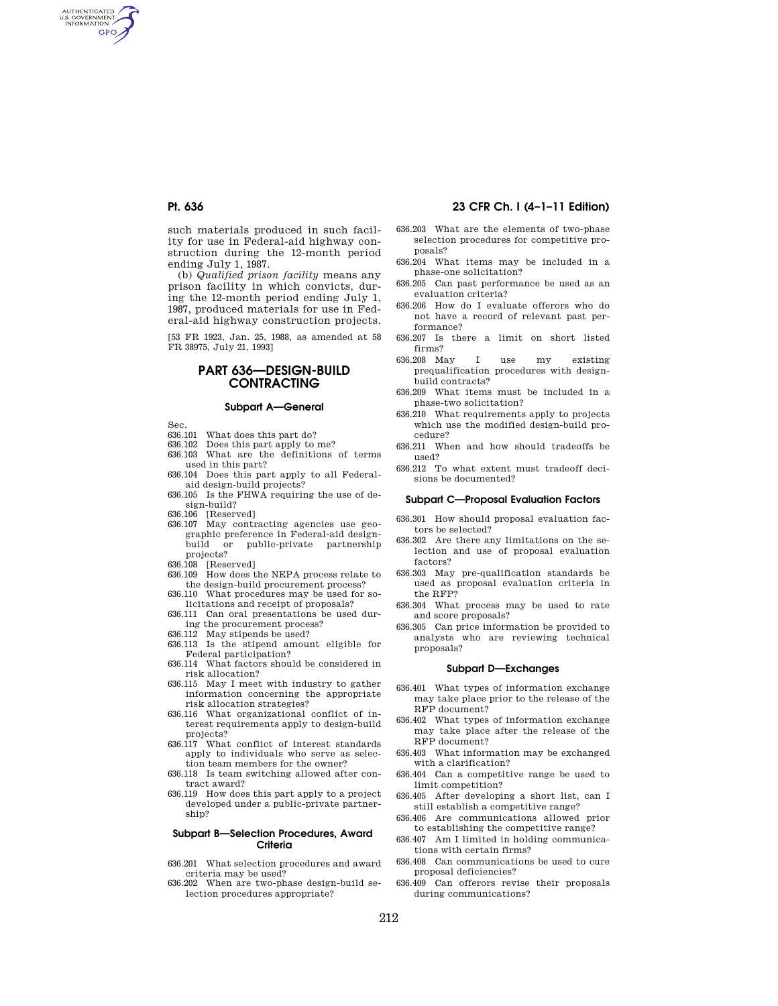AUTHENTICATED<br>U.S. GOVERNMENT<br>INFORMATION **GPO** 

> such materials produced in such facility for use in Federal-aid highway construction during the 12-month period ending July 1, 1987.

> (b) *Qualified prison facility* means any prison facility in which convicts, during the 12-month period ending July 1, 1987, produced materials for use in Federal-aid highway construction projects.

> [53 FR 1923, Jan. 25, 1988, as amended at 58 FR 38975, July 21, 1993]

# **PART 636—DESIGN-BUILD CONTRACTING**

# **Subpart A—General**

Sec.

- 636.101 What does this part do?
- 636.102 Does this part apply to me?
- 636.103 What are the definitions of terms used in this part?
- 636.104 Does this part apply to all Federalaid design-build projects?
- 636.105 Is the FHWA requiring the use of design-build?
- 636.106 [Reserved]
- 636.107 May contracting agencies use geographic preference in Federal-aid designbuild or public-private partnership projects?
- 
- 636.108 [Reserved] 636.109 How does the NEPA process relate to the design-build procurement process?
- 636.110 What procedures may be used for solicitations and receipt of proposals?
- 636.111 Can oral presentations be used during the procurement process?
- 636.112 May stipends be used?
- 636.113 Is the stipend amount eligible for Federal participation?
- 636.114 What factors should be considered in risk allocation?
- 636.115 May I meet with industry to gather information concerning the appropriate risk allocation strategies?
- 636.116 What organizational conflict of interest requirements apply to design-build projects?
- 636.117 What conflict of interest standards apply to individuals who serve as selection team members for the owner?
- 636.118 Is team switching allowed after contract award?
- 636.119 How does this part apply to a project developed under a public-private partnership?

#### **Subpart B—Selection Procedures, Award Criteria**

- 636.201 What selection procedures and award criteria may be used?
- 636.202 When are two-phase design-build selection procedures appropriate?

# **Pt. 636 23 CFR Ch. I (4–1–11 Edition)**

- 636.203 What are the elements of two-phase selection procedures for competitive proposals?
- 636.204 What items may be included in a phase-one solicitation?
- 636.205 Can past performance be used as an evaluation criteria?
- 636.206 How do I evaluate offerors who do not have a record of relevant past performance?
- 636.207 Is there a limit on short listed firms?
- 636.208 May I use my existing prequalification procedures with designbuild contracts?
- 636.209 What items must be included in a phase-two solicitation?
- 636.210 What requirements apply to projects which use the modified design-build procedure?
- 636.211 When and how should tradeoffs be used?
- 636.212 To what extent must tradeoff decisions be documented?

#### **Subpart C—Proposal Evaluation Factors**

- 636.301 How should proposal evaluation factors be selected?
- 636.302 Are there any limitations on the selection and use of proposal evaluation factors?
- 636.303 May pre-qualification standards be used as proposal evaluation criteria in the RFP?
- 636.304 What process may be used to rate and score proposals?
- 636.305 Can price information be provided to analysts who are reviewing technical proposals?

### **Subpart D—Exchanges**

- 636.401 What types of information exchange may take place prior to the release of the RFP document?
- 636.402 What types of information exchange may take place after the release of the RFP document?
- 636.403 What information may be exchanged with a clarification?
- 636.404 Can a competitive range be used to limit competition?
- 636.405 After developing a short list, can I still establish a competitive range?
- 636.406 Are communications allowed prior to establishing the competitive range?
- 636.407 Am I limited in holding communications with certain firms?
- 636.408 Can communications be used to cure proposal deficiencies?
- 636.409 Can offerors revise their proposals during communications?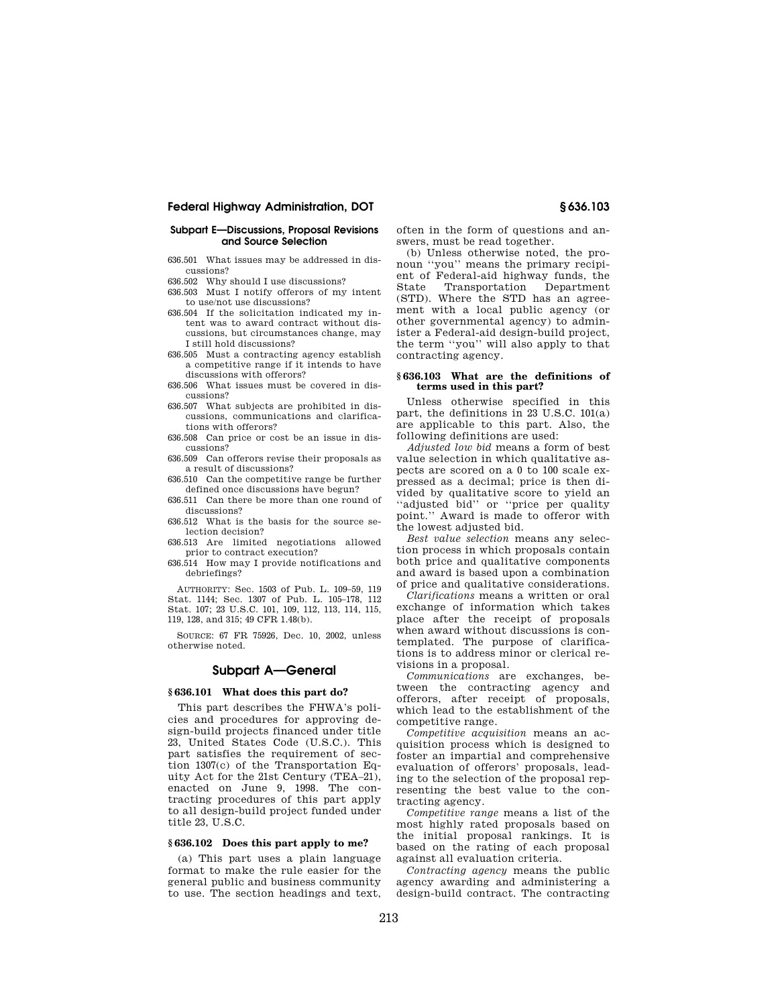## **Subpart E—Discussions, Proposal Revisions and Source Selection**

- 636.501 What issues may be addressed in discussions?
- 636.502 Why should I use discussions?
- 636.503 Must I notify offerors of my intent to use/not use discussions?
- 636.504 If the solicitation indicated my intent was to award contract without discussions, but circumstances change, may I still hold discussions?
- 636.505 Must a contracting agency establish a competitive range if it intends to have discussions with offerors?
- 636.506 What issues must be covered in discussions?
- 636.507 What subjects are prohibited in discussions, communications and clarifications with offerors?
- 636.508 Can price or cost be an issue in discussions?
- 636.509 Can offerors revise their proposals as a result of discussions?
- 636.510 Can the competitive range be further defined once discussions have begun?
- 636.511 Can there be more than one round of discussions?
- 636.512 What is the basis for the source selection decision?
- 636.513 Are limited negotiations allowed prior to contract execution?
- 636.514 How may I provide notifications and debriefings?

AUTHORITY: Sec. 1503 of Pub. L. 109–59, 119 Stat. 1144; Sec. 1307 of Pub. L. 105–178, 112 Stat. 107; 23 U.S.C. 101, 109, 112, 113, 114, 115, 119, 128, and 315; 49 CFR 1.48(b).

SOURCE: 67 FR 75926, Dec. 10, 2002, unless otherwise noted.

# **Subpart A—General**

## **§ 636.101 What does this part do?**

This part describes the FHWA's policies and procedures for approving design-build projects financed under title 23, United States Code (U.S.C.). This part satisfies the requirement of section 1307(c) of the Transportation Equity Act for the 21st Century (TEA–21), enacted on June 9, 1998. The contracting procedures of this part apply to all design-build project funded under title 23, U.S.C.

# **§ 636.102 Does this part apply to me?**

(a) This part uses a plain language format to make the rule easier for the general public and business community to use. The section headings and text, often in the form of questions and answers, must be read together.

(b) Unless otherwise noted, the pronoun ''you'' means the primary recipient of Federal-aid highway funds, the State Transportation Department (STD). Where the STD has an agreement with a local public agency (or other governmental agency) to administer a Federal-aid design-build project, the term ''you'' will also apply to that contracting agency.

#### **§ 636.103 What are the definitions of terms used in this part?**

Unless otherwise specified in this part, the definitions in 23 U.S.C. 101(a) are applicable to this part. Also, the following definitions are used:

*Adjusted low bid* means a form of best value selection in which qualitative aspects are scored on a 0 to 100 scale expressed as a decimal; price is then divided by qualitative score to yield an ''adjusted bid'' or ''price per quality point.'' Award is made to offeror with the lowest adjusted bid.

*Best value selection* means any selection process in which proposals contain both price and qualitative components and award is based upon a combination of price and qualitative considerations.

*Clarifications* means a written or oral exchange of information which takes place after the receipt of proposals when award without discussions is contemplated. The purpose of clarifications is to address minor or clerical revisions in a proposal.

*Communications* are exchanges, between the contracting agency and offerors, after receipt of proposals, which lead to the establishment of the competitive range.

*Competitive acquisition* means an acquisition process which is designed to foster an impartial and comprehensive evaluation of offerors' proposals, leading to the selection of the proposal representing the best value to the contracting agency.

*Competitive range* means a list of the most highly rated proposals based on the initial proposal rankings. It is based on the rating of each proposal against all evaluation criteria.

*Contracting agency* means the public agency awarding and administering a design-build contract. The contracting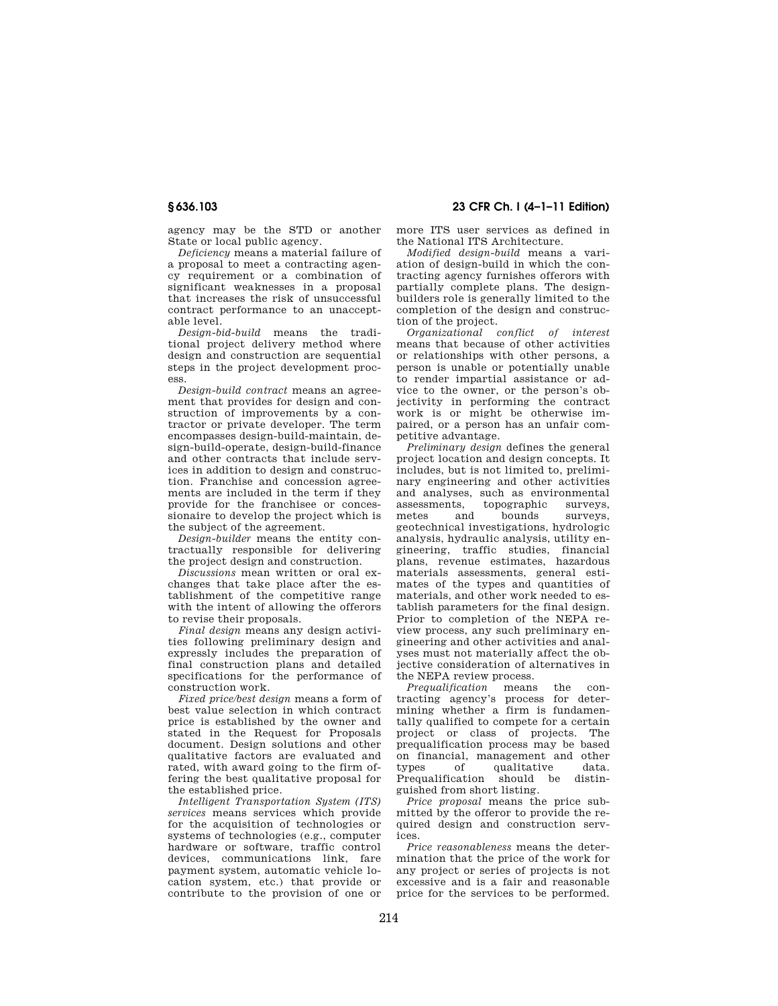**§ 636.103 23 CFR Ch. I (4–1–11 Edition)** 

agency may be the STD or another State or local public agency.

*Deficiency* means a material failure of a proposal to meet a contracting agency requirement or a combination of significant weaknesses in a proposal that increases the risk of unsuccessful contract performance to an unacceptable level.

*Design-bid-build* means the traditional project delivery method where design and construction are sequential steps in the project development process.

*Design-build contract* means an agreement that provides for design and construction of improvements by a contractor or private developer. The term encompasses design-build-maintain, design-build-operate, design-build-finance and other contracts that include services in addition to design and construction. Franchise and concession agreements are included in the term if they provide for the franchisee or concessionaire to develop the project which is the subject of the agreement.

*Design-builder* means the entity contractually responsible for delivering the project design and construction.

*Discussions* mean written or oral exchanges that take place after the establishment of the competitive range with the intent of allowing the offerors to revise their proposals.

*Final design* means any design activities following preliminary design and expressly includes the preparation of final construction plans and detailed specifications for the performance of construction work.

*Fixed price/best design* means a form of best value selection in which contract price is established by the owner and stated in the Request for Proposals document. Design solutions and other qualitative factors are evaluated and rated, with award going to the firm offering the best qualitative proposal for the established price.

*Intelligent Transportation System (ITS) services* means services which provide for the acquisition of technologies or systems of technologies (e.g., computer hardware or software, traffic control devices, communications link, fare payment system, automatic vehicle location system, etc.) that provide or contribute to the provision of one or

more ITS user services as defined in the National ITS Architecture.

*Modified design-build* means a variation of design-build in which the contracting agency furnishes offerors with partially complete plans. The designbuilders role is generally limited to the completion of the design and construction of the project.

*Organizational conflict of interest*  means that because of other activities or relationships with other persons, a person is unable or potentially unable to render impartial assistance or advice to the owner, or the person's objectivity in performing the contract work is or might be otherwise impaired, or a person has an unfair competitive advantage.

*Preliminary design* defines the general project location and design concepts. It includes, but is not limited to, preliminary engineering and other activities and analyses, such as environmental<br>assessments, topographic surveys. assessments, topographic<br>metes and bounds bounds surveys, geotechnical investigations, hydrologic analysis, hydraulic analysis, utility engineering, traffic studies, financial plans, revenue estimates, hazardous materials assessments, general estimates of the types and quantities of materials, and other work needed to establish parameters for the final design. Prior to completion of the NEPA review process, any such preliminary engineering and other activities and analyses must not materially affect the objective consideration of alternatives in the NEPA review process.

*Prequalification* means the contracting agency's process for determining whether a firm is fundamentally qualified to compete for a certain project or class of projects. The prequalification process may be based on financial, management and other<br>types of qualitative data. types of qualitative data.<br>Prequalification should be distin-Prequalification should guished from short listing.

*Price proposal* means the price submitted by the offeror to provide the required design and construction services.

*Price reasonableness* means the determination that the price of the work for any project or series of projects is not excessive and is a fair and reasonable price for the services to be performed.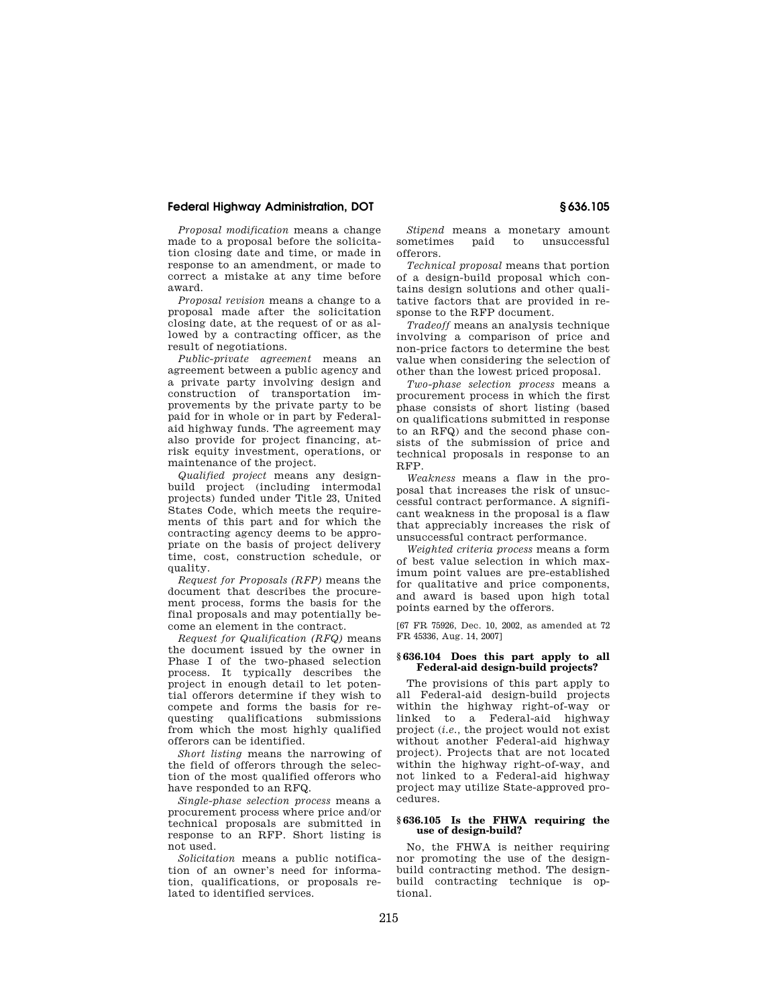*Proposal modification* means a change made to a proposal before the solicitation closing date and time, or made in response to an amendment, or made to correct a mistake at any time before award.

*Proposal revision* means a change to a proposal made after the solicitation closing date, at the request of or as allowed by a contracting officer, as the result of negotiations.

*Public-private agreement* means an agreement between a public agency and a private party involving design and construction of transportation improvements by the private party to be paid for in whole or in part by Federalaid highway funds. The agreement may also provide for project financing, atrisk equity investment, operations, or maintenance of the project.

*Qualified project* means any designbuild project (including intermodal projects) funded under Title 23, United States Code, which meets the requirements of this part and for which the contracting agency deems to be appropriate on the basis of project delivery time, cost, construction schedule, or quality.

*Request for Proposals (RFP)* means the document that describes the procurement process, forms the basis for the final proposals and may potentially become an element in the contract.

*Request for Qualification (RFQ)* means the document issued by the owner in Phase I of the two-phased selection process. It typically describes the project in enough detail to let potential offerors determine if they wish to compete and forms the basis for requesting qualifications submissions from which the most highly qualified offerors can be identified.

*Short listing* means the narrowing of the field of offerors through the selection of the most qualified offerors who have responded to an RFQ.

*Single-phase selection process* means a procurement process where price and/or technical proposals are submitted in response to an RFP. Short listing is not used.

*Solicitation* means a public notification of an owner's need for information, qualifications, or proposals related to identified services.

*Stipend* means a monetary amount sometimes paid to unsuccessful offerors.

*Technical proposal* means that portion of a design-build proposal which contains design solutions and other qualitative factors that are provided in response to the RFP document.

*Tradeoff* means an analysis technique involving a comparison of price and non-price factors to determine the best value when considering the selection of other than the lowest priced proposal.

*Two-phase selection process* means a procurement process in which the first phase consists of short listing (based on qualifications submitted in response to an RFQ) and the second phase consists of the submission of price and technical proposals in response to an RFP.

*Weakness* means a flaw in the proposal that increases the risk of unsuccessful contract performance. A significant weakness in the proposal is a flaw that appreciably increases the risk of unsuccessful contract performance.

*Weighted criteria process* means a form of best value selection in which maximum point values are pre-established for qualitative and price components, and award is based upon high total points earned by the offerors.

[67 FR 75926, Dec. 10, 2002, as amended at 72 FR 45336, Aug. 14, 2007]

### **§ 636.104 Does this part apply to all Federal-aid design-build projects?**

The provisions of this part apply to all Federal-aid design-build projects within the highway right-of-way or linked to a Federal-aid highway project (*i.e.,* the project would not exist without another Federal-aid highway project). Projects that are not located within the highway right-of-way, and not linked to a Federal-aid highway project may utilize State-approved procedures.

### **§ 636.105 Is the FHWA requiring the use of design-build?**

No, the FHWA is neither requiring nor promoting the use of the designbuild contracting method. The designbuild contracting technique is optional.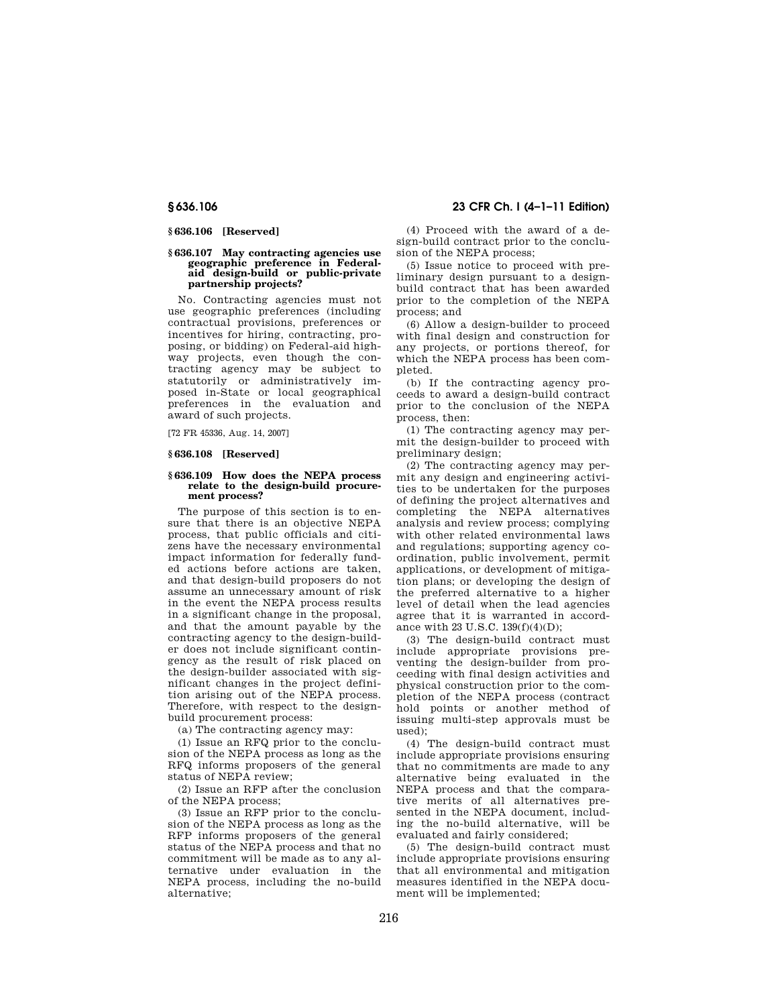# **§ 636.106 [Reserved]**

#### **§ 636.107 May contracting agencies use geographic preference in Federalaid design-build or public-private partnership projects?**

No. Contracting agencies must not use geographic preferences (including contractual provisions, preferences or incentives for hiring, contracting, proposing, or bidding) on Federal-aid highway projects, even though the contracting agency may be subject to statutorily or administratively imposed in-State or local geographical preferences in the evaluation and award of such projects.

[72 FR 45336, Aug. 14, 2007]

# **§ 636.108 [Reserved]**

#### **§ 636.109 How does the NEPA process relate to the design-build procurement process?**

The purpose of this section is to ensure that there is an objective NEPA process, that public officials and citizens have the necessary environmental impact information for federally funded actions before actions are taken, and that design-build proposers do not assume an unnecessary amount of risk in the event the NEPA process results in a significant change in the proposal, and that the amount payable by the contracting agency to the design-builder does not include significant contingency as the result of risk placed on the design-builder associated with significant changes in the project definition arising out of the NEPA process. Therefore, with respect to the designbuild procurement process:

(a) The contracting agency may:

(1) Issue an RFQ prior to the conclusion of the NEPA process as long as the RFQ informs proposers of the general status of NEPA review;

(2) Issue an RFP after the conclusion of the NEPA process;

(3) Issue an RFP prior to the conclusion of the NEPA process as long as the RFP informs proposers of the general status of the NEPA process and that no commitment will be made as to any alternative under evaluation in the NEPA process, including the no-build alternative;

**§ 636.106 23 CFR Ch. I (4–1–11 Edition)** 

(4) Proceed with the award of a design-build contract prior to the conclusion of the NEPA process;

(5) Issue notice to proceed with preliminary design pursuant to a designbuild contract that has been awarded prior to the completion of the NEPA process; and

(6) Allow a design-builder to proceed with final design and construction for any projects, or portions thereof, for which the NEPA process has been completed.

(b) If the contracting agency proceeds to award a design-build contract prior to the conclusion of the NEPA process, then:

(1) The contracting agency may permit the design-builder to proceed with preliminary design;

(2) The contracting agency may permit any design and engineering activities to be undertaken for the purposes of defining the project alternatives and completing the NEPA alternatives analysis and review process; complying with other related environmental laws and regulations; supporting agency coordination, public involvement, permit applications, or development of mitigation plans; or developing the design of the preferred alternative to a higher level of detail when the lead agencies agree that it is warranted in accordance with 23 U.S.C. 139(f)(4)(D);

(3) The design-build contract must include appropriate provisions preventing the design-builder from proceeding with final design activities and physical construction prior to the completion of the NEPA process (contract hold points or another method of issuing multi-step approvals must be used);

(4) The design-build contract must include appropriate provisions ensuring that no commitments are made to any alternative being evaluated in the NEPA process and that the comparative merits of all alternatives presented in the NEPA document, including the no-build alternative, will be evaluated and fairly considered;

(5) The design-build contract must include appropriate provisions ensuring that all environmental and mitigation measures identified in the NEPA document will be implemented;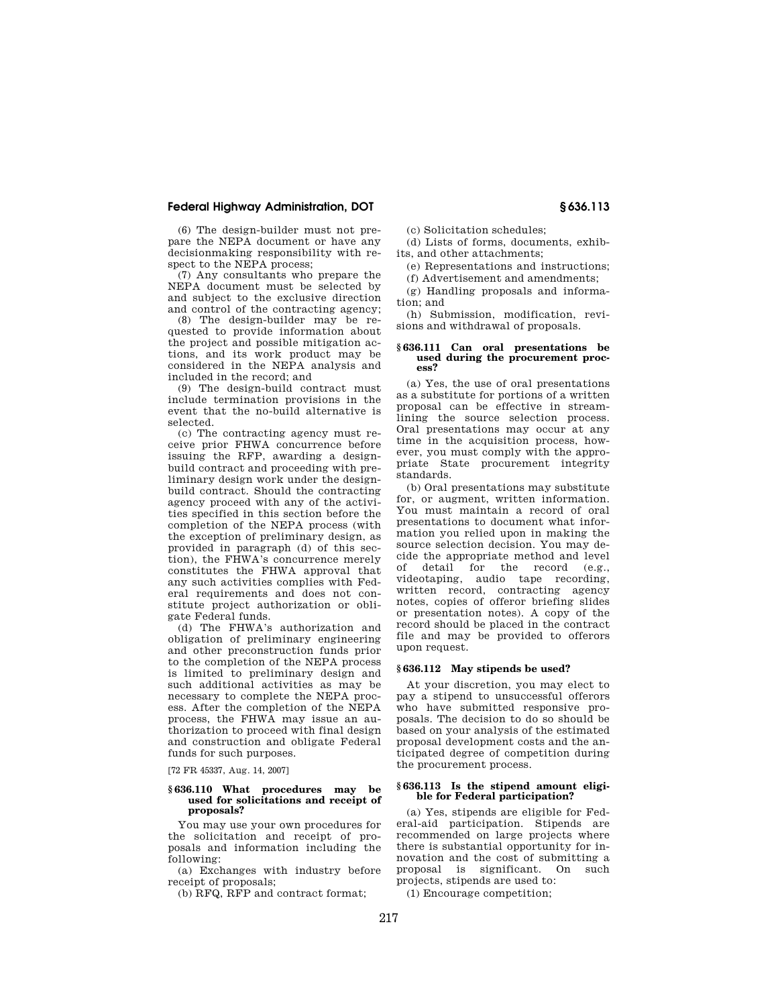(6) The design-builder must not prepare the NEPA document or have any decisionmaking responsibility with respect to the NEPA process;

(7) Any consultants who prepare the NEPA document must be selected by and subject to the exclusive direction and control of the contracting agency;

(8) The design-builder may be requested to provide information about the project and possible mitigation actions, and its work product may be considered in the NEPA analysis and included in the record; and

(9) The design-build contract must include termination provisions in the event that the no-build alternative is selected.

(c) The contracting agency must receive prior FHWA concurrence before issuing the RFP, awarding a designbuild contract and proceeding with preliminary design work under the designbuild contract. Should the contracting agency proceed with any of the activities specified in this section before the completion of the NEPA process (with the exception of preliminary design, as provided in paragraph (d) of this section), the FHWA's concurrence merely constitutes the FHWA approval that any such activities complies with Federal requirements and does not constitute project authorization or obligate Federal funds.

(d) The FHWA's authorization and obligation of preliminary engineering and other preconstruction funds prior to the completion of the NEPA process is limited to preliminary design and such additional activities as may be necessary to complete the NEPA process. After the completion of the NEPA process, the FHWA may issue an authorization to proceed with final design and construction and obligate Federal funds for such purposes.

[72 FR 45337, Aug. 14, 2007]

#### **§ 636.110 What procedures may be used for solicitations and receipt of proposals?**

You may use your own procedures for the solicitation and receipt of proposals and information including the following:

(a) Exchanges with industry before receipt of proposals;

(b) RFQ, RFP and contract format;

(c) Solicitation schedules;

(d) Lists of forms, documents, exhibits, and other attachments;

(e) Representations and instructions;

(f) Advertisement and amendments;

(g) Handling proposals and information; and

(h) Submission, modification, revisions and withdrawal of proposals.

#### **§ 636.111 Can oral presentations be used during the procurement process?**

(a) Yes, the use of oral presentations as a substitute for portions of a written proposal can be effective in streamlining the source selection process. Oral presentations may occur at any time in the acquisition process, however, you must comply with the appropriate State procurement integrity standards.

(b) Oral presentations may substitute for, or augment, written information. You must maintain a record of oral presentations to document what information you relied upon in making the source selection decision. You may decide the appropriate method and level of detail for the record (e.g., videotaping, audio tape recording, written record, contracting agency notes, copies of offeror briefing slides or presentation notes). A copy of the record should be placed in the contract file and may be provided to offerors upon request.

# **§ 636.112 May stipends be used?**

At your discretion, you may elect to pay a stipend to unsuccessful offerors who have submitted responsive proposals. The decision to do so should be based on your analysis of the estimated proposal development costs and the anticipated degree of competition during the procurement process.

#### **§ 636.113 Is the stipend amount eligible for Federal participation?**

(a) Yes, stipends are eligible for Federal-aid participation. Stipends are recommended on large projects where there is substantial opportunity for innovation and the cost of submitting a proposal is significant. On such projects, stipends are used to:

(1) Encourage competition;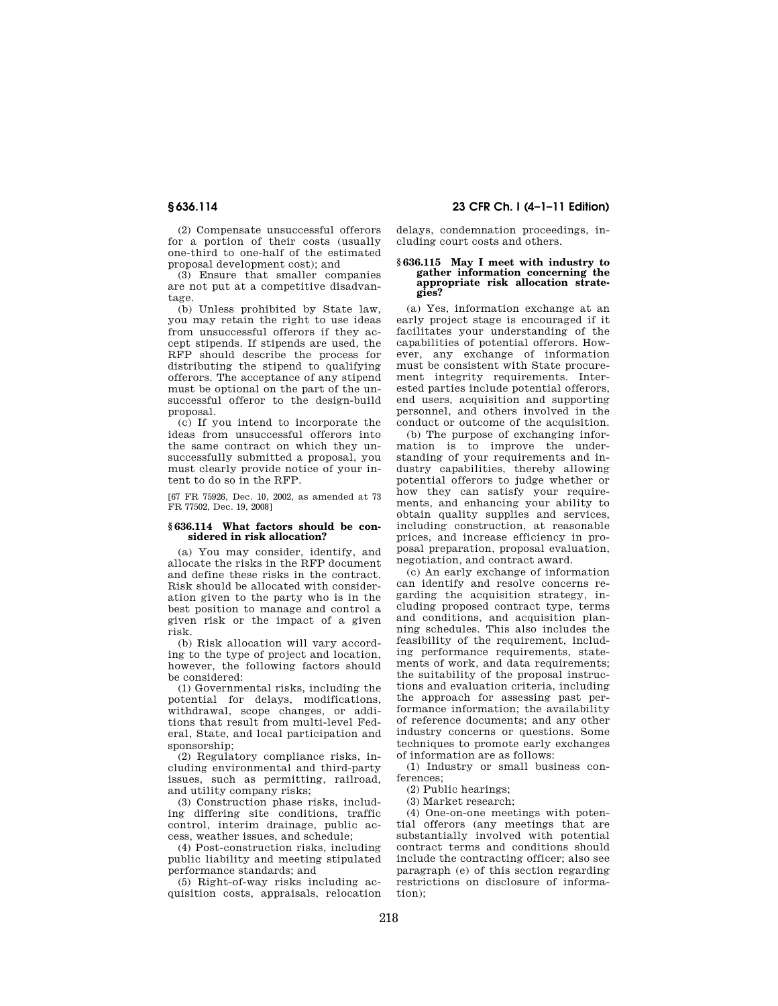(2) Compensate unsuccessful offerors for a portion of their costs (usually one-third to one-half of the estimated proposal development cost); and

(3) Ensure that smaller companies are not put at a competitive disadvantage.

(b) Unless prohibited by State law, you may retain the right to use ideas from unsuccessful offerors if they accept stipends. If stipends are used, the RFP should describe the process for distributing the stipend to qualifying offerors. The acceptance of any stipend must be optional on the part of the unsuccessful offeror to the design-build proposal.

(c) If you intend to incorporate the ideas from unsuccessful offerors into the same contract on which they unsuccessfully submitted a proposal, you must clearly provide notice of your intent to do so in the RFP.

[67 FR 75926, Dec. 10, 2002, as amended at 73 FR 77502, Dec. 19, 2008]

#### **§ 636.114 What factors should be considered in risk allocation?**

(a) You may consider, identify, and allocate the risks in the RFP document and define these risks in the contract. Risk should be allocated with consideration given to the party who is in the best position to manage and control a given risk or the impact of a given risk.

(b) Risk allocation will vary according to the type of project and location, however, the following factors should be considered:

(1) Governmental risks, including the potential for delays, modifications, withdrawal, scope changes, or additions that result from multi-level Federal, State, and local participation and sponsorship;

(2) Regulatory compliance risks, including environmental and third-party issues, such as permitting, railroad, and utility company risks;

(3) Construction phase risks, including differing site conditions, traffic control, interim drainage, public access, weather issues, and schedule;

(4) Post-construction risks, including public liability and meeting stipulated performance standards; and

(5) Right-of-way risks including acquisition costs, appraisals, relocation

**§ 636.114 23 CFR Ch. I (4–1–11 Edition)** 

delays, condemnation proceedings, including court costs and others.

## **§ 636.115 May I meet with industry to gather information concerning the appropriate risk allocation strategies?**

(a) Yes, information exchange at an early project stage is encouraged if it facilitates your understanding of the capabilities of potential offerors. However, any exchange of information must be consistent with State procurement integrity requirements. Interested parties include potential offerors, end users, acquisition and supporting personnel, and others involved in the conduct or outcome of the acquisition.

(b) The purpose of exchanging information is to improve the understanding of your requirements and industry capabilities, thereby allowing potential offerors to judge whether or how they can satisfy your requirements, and enhancing your ability to obtain quality supplies and services, including construction, at reasonable prices, and increase efficiency in proposal preparation, proposal evaluation, negotiation, and contract award.

(c) An early exchange of information can identify and resolve concerns regarding the acquisition strategy, including proposed contract type, terms and conditions, and acquisition planning schedules. This also includes the feasibility of the requirement, including performance requirements, statements of work, and data requirements; the suitability of the proposal instructions and evaluation criteria, including the approach for assessing past performance information; the availability of reference documents; and any other industry concerns or questions. Some techniques to promote early exchanges of information are as follows:

(1) Industry or small business conferences;

(2) Public hearings;

(3) Market research;

(4) One-on-one meetings with potential offerors (any meetings that are substantially involved with potential contract terms and conditions should include the contracting officer; also see paragraph (e) of this section regarding restrictions on disclosure of information);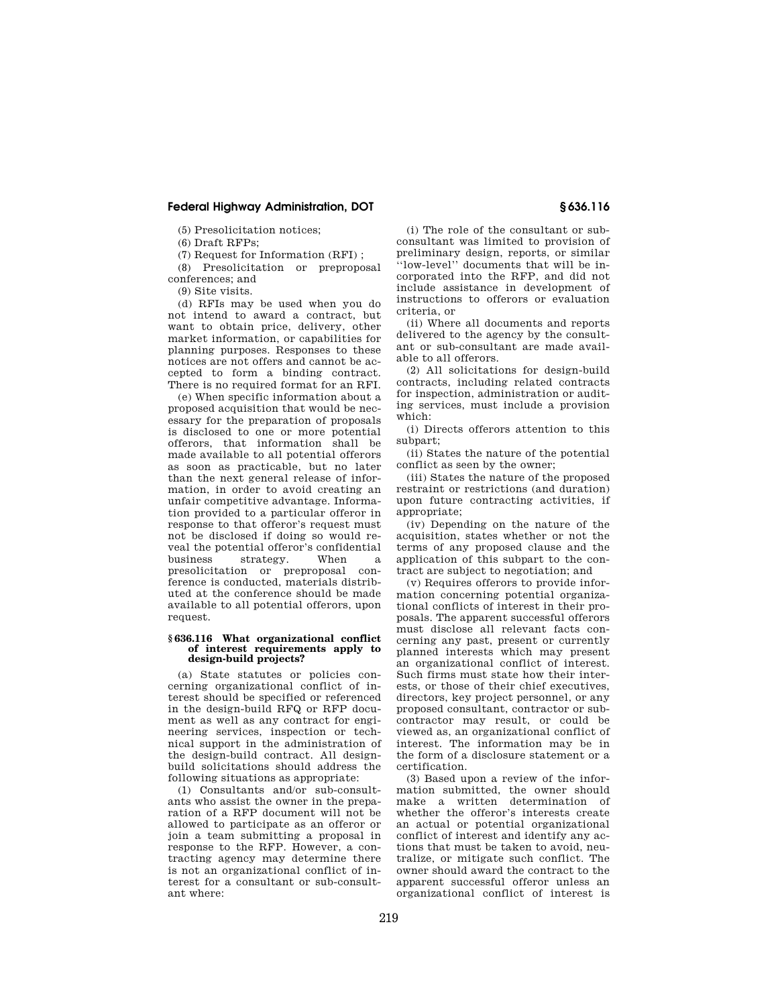(5) Presolicitation notices;

(6) Draft RFPs;

(7) Request for Information (RFI) ;

(8) Presolicitation or preproposal conferences; and

(9) Site visits.

(d) RFIs may be used when you do not intend to award a contract, but want to obtain price, delivery, other market information, or capabilities for planning purposes. Responses to these notices are not offers and cannot be accepted to form a binding contract. There is no required format for an RFI.

(e) When specific information about a proposed acquisition that would be necessary for the preparation of proposals is disclosed to one or more potential offerors, that information shall be made available to all potential offerors as soon as practicable, but no later than the next general release of information, in order to avoid creating an unfair competitive advantage. Information provided to a particular offeror in response to that offeror's request must not be disclosed if doing so would reveal the potential offeror's confidential business strategy. When a presolicitation or preproposal conference is conducted, materials distributed at the conference should be made available to all potential offerors, upon request.

#### **§ 636.116 What organizational conflict of interest requirements apply to design-build projects?**

(a) State statutes or policies concerning organizational conflict of interest should be specified or referenced in the design-build RFQ or RFP document as well as any contract for engineering services, inspection or technical support in the administration of the design-build contract. All designbuild solicitations should address the following situations as appropriate:

(1) Consultants and/or sub-consultants who assist the owner in the preparation of a RFP document will not be allowed to participate as an offeror or join a team submitting a proposal in response to the RFP. However, a contracting agency may determine there is not an organizational conflict of interest for a consultant or sub-consultant where:

(i) The role of the consultant or subconsultant was limited to provision of preliminary design, reports, or similar ''low-level'' documents that will be incorporated into the RFP, and did not include assistance in development of instructions to offerors or evaluation criteria, or

(ii) Where all documents and reports delivered to the agency by the consultant or sub-consultant are made available to all offerors.

(2) All solicitations for design-build contracts, including related contracts for inspection, administration or auditing services, must include a provision which:

(i) Directs offerors attention to this subpart;

(ii) States the nature of the potential conflict as seen by the owner;

(iii) States the nature of the proposed restraint or restrictions (and duration) upon future contracting activities, if appropriate;

(iv) Depending on the nature of the acquisition, states whether or not the terms of any proposed clause and the application of this subpart to the contract are subject to negotiation; and

(v) Requires offerors to provide information concerning potential organizational conflicts of interest in their proposals. The apparent successful offerors must disclose all relevant facts concerning any past, present or currently planned interests which may present an organizational conflict of interest. Such firms must state how their interests, or those of their chief executives, directors, key project personnel, or any proposed consultant, contractor or subcontractor may result, or could be viewed as, an organizational conflict of interest. The information may be in the form of a disclosure statement or a certification.

(3) Based upon a review of the information submitted, the owner should make a written determination of whether the offeror's interests create an actual or potential organizational conflict of interest and identify any actions that must be taken to avoid, neutralize, or mitigate such conflict. The owner should award the contract to the apparent successful offeror unless an organizational conflict of interest is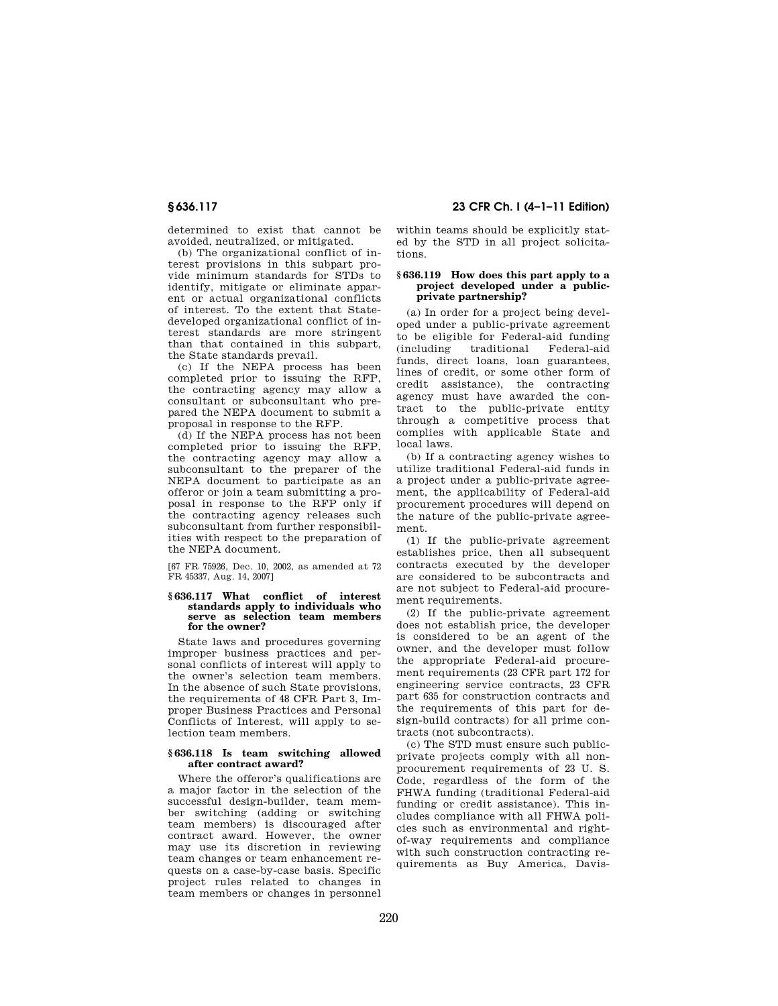determined to exist that cannot be avoided, neutralized, or mitigated.

(b) The organizational conflict of interest provisions in this subpart provide minimum standards for STDs to identify, mitigate or eliminate apparent or actual organizational conflicts of interest. To the extent that Statedeveloped organizational conflict of interest standards are more stringent than that contained in this subpart, the State standards prevail.

(c) If the NEPA process has been completed prior to issuing the RFP, the contracting agency may allow a consultant or subconsultant who prepared the NEPA document to submit a proposal in response to the RFP.

(d) If the NEPA process has not been completed prior to issuing the RFP, the contracting agency may allow a subconsultant to the preparer of the NEPA document to participate as an offeror or join a team submitting a proposal in response to the RFP only if the contracting agency releases such subconsultant from further responsibilities with respect to the preparation of the NEPA document.

[67 FR 75926, Dec. 10, 2002, as amended at 72 FR 45337, Aug. 14, 2007]

#### **§ 636.117 What conflict of interest standards apply to individuals who serve as selection team members for the owner?**

State laws and procedures governing improper business practices and personal conflicts of interest will apply to the owner's selection team members. In the absence of such State provisions, the requirements of 48 CFR Part 3, Improper Business Practices and Personal Conflicts of Interest, will apply to selection team members.

#### **§ 636.118 Is team switching allowed after contract award?**

Where the offeror's qualifications are a major factor in the selection of the successful design-builder, team member switching (adding or switching team members) is discouraged after contract award. However, the owner may use its discretion in reviewing team changes or team enhancement requests on a case-by-case basis. Specific project rules related to changes in team members or changes in personnel

**§ 636.117 23 CFR Ch. I (4–1–11 Edition)** 

within teams should be explicitly stated by the STD in all project solicitations.

#### **§ 636.119 How does this part apply to a project developed under a publicprivate partnership?**

(a) In order for a project being developed under a public-private agreement to be eligible for Federal-aid funding (including traditional Federal-aid funds, direct loans, loan guarantees, lines of credit, or some other form of credit assistance), the contracting agency must have awarded the contract to the public-private entity through a competitive process that complies with applicable State and local laws.

(b) If a contracting agency wishes to utilize traditional Federal-aid funds in a project under a public-private agreement, the applicability of Federal-aid procurement procedures will depend on the nature of the public-private agreement.

(1) If the public-private agreement establishes price, then all subsequent contracts executed by the developer are considered to be subcontracts and are not subject to Federal-aid procurement requirements.

(2) If the public-private agreement does not establish price, the developer is considered to be an agent of the owner, and the developer must follow the appropriate Federal-aid procurement requirements (23 CFR part 172 for engineering service contracts, 23 CFR part 635 for construction contracts and the requirements of this part for design-build contracts) for all prime contracts (not subcontracts).

(c) The STD must ensure such publicprivate projects comply with all nonprocurement requirements of 23 U. S. Code, regardless of the form of the FHWA funding (traditional Federal-aid funding or credit assistance). This includes compliance with all FHWA policies such as environmental and rightof-way requirements and compliance with such construction contracting requirements as Buy America, Davis-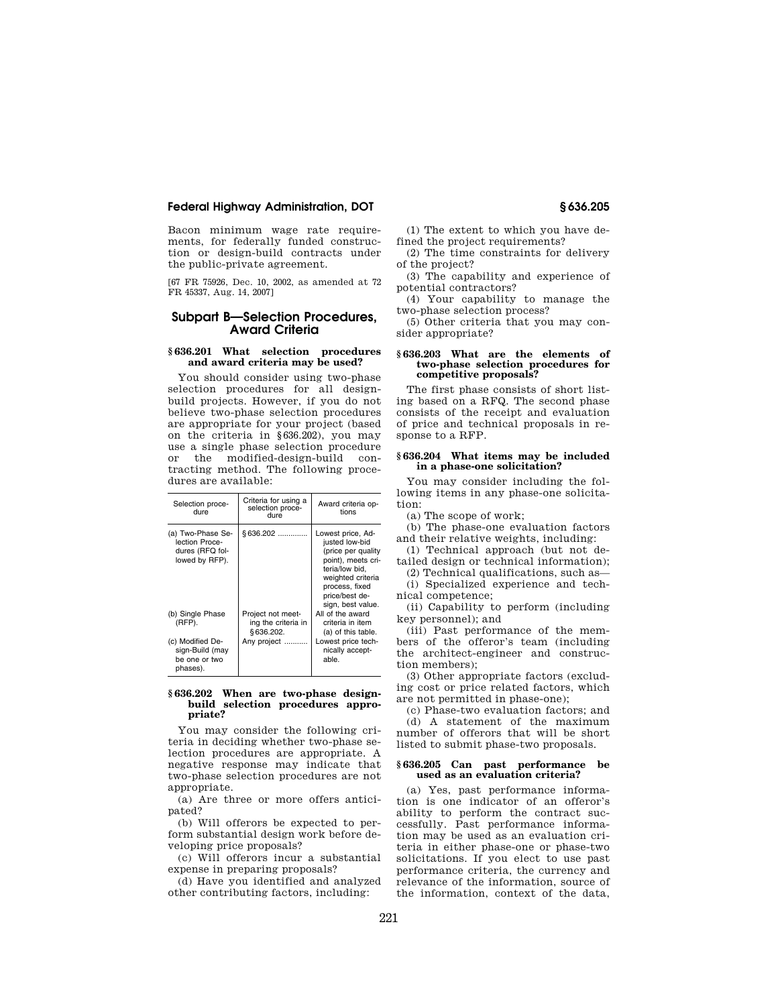Bacon minimum wage rate requirements, for federally funded construction or design-build contracts under the public-private agreement.

[67 FR 75926, Dec. 10, 2002, as amended at 72 FR 45337, Aug. 14, 2007]

# **Subpart B—Selection Procedures, Award Criteria**

## **§ 636.201 What selection procedures and award criteria may be used?**

You should consider using two-phase selection procedures for all designbuild projects. However, if you do not believe two-phase selection procedures are appropriate for your project (based on the criteria in §636.202), you may use a single phase selection procedure or the modified-design-build contracting method. The following procedures are available:

| Selection proce-<br>dure                                                 | Criteria for using a<br>selection proce-<br>dure      | Award criteria op-<br>tions                                                                                                                                                     |
|--------------------------------------------------------------------------|-------------------------------------------------------|---------------------------------------------------------------------------------------------------------------------------------------------------------------------------------|
| (a) Two-Phase Se-<br>lection Proce-<br>dures (RFQ fol-<br>lowed by RFP). | \$636.202                                             | Lowest price, Ad-<br>justed low-bid<br>(price per quality<br>point), meets cri-<br>teria/low bid,<br>weighted criteria<br>process, fixed<br>price/best de-<br>sign, best value. |
| (b) Single Phase<br>(RFP).                                               | Project not meet-<br>ing the criteria in<br>§636.202. | All of the award<br>criteria in item<br>(a) of this table.                                                                                                                      |
| (c) Modified De-<br>sign-Build (may<br>be one or two<br>phases).         | Any project                                           | Lowest price tech-<br>nically accept-<br>able.                                                                                                                                  |

#### **§ 636.202 When are two-phase designbuild selection procedures appropriate?**

You may consider the following criteria in deciding whether two-phase selection procedures are appropriate. A negative response may indicate that two-phase selection procedures are not appropriate.

(a) Are three or more offers anticipated?

(b) Will offerors be expected to perform substantial design work before developing price proposals?

(c) Will offerors incur a substantial expense in preparing proposals?

(d) Have you identified and analyzed other contributing factors, including:

(1) The extent to which you have defined the project requirements?

(2) The time constraints for delivery of the project?

(3) The capability and experience of potential contractors?

(4) Your capability to manage the two-phase selection process?

(5) Other criteria that you may consider appropriate?

### **§ 636.203 What are the elements of two-phase selection procedures for competitive proposals?**

The first phase consists of short listing based on a RFQ. The second phase consists of the receipt and evaluation of price and technical proposals in response to a RFP.

#### **§ 636.204 What items may be included in a phase-one solicitation?**

You may consider including the following items in any phase-one solicitation:

(a) The scope of work;

(b) The phase-one evaluation factors and their relative weights, including:

(1) Technical approach (but not detailed design or technical information);

(2) Technical qualifications, such as—

(i) Specialized experience and technical competence;

(ii) Capability to perform (including key personnel); and

(iii) Past performance of the members of the offeror's team (including the architect-engineer and construction members);

(3) Other appropriate factors (excluding cost or price related factors, which are not permitted in phase-one);

(c) Phase-two evaluation factors; and

(d) A statement of the maximum number of offerors that will be short listed to submit phase-two proposals.

#### **§ 636.205 Can past performance be used as an evaluation criteria?**

(a) Yes, past performance information is one indicator of an offeror's ability to perform the contract successfully. Past performance information may be used as an evaluation criteria in either phase-one or phase-two solicitations. If you elect to use past performance criteria, the currency and relevance of the information, source of the information, context of the data,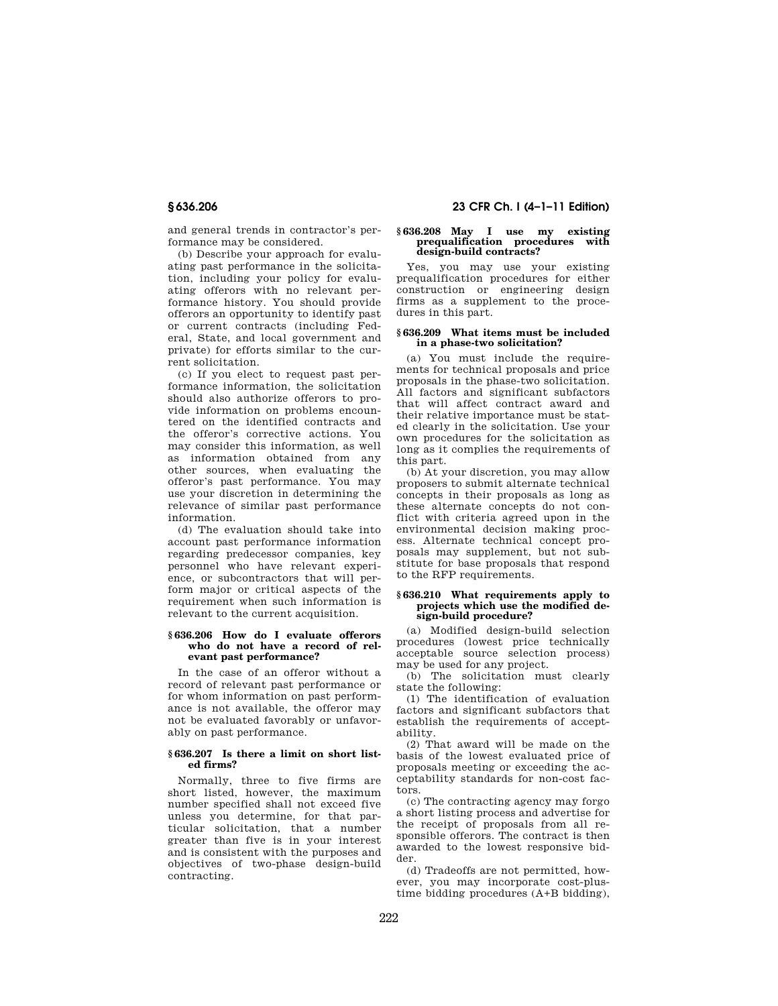and general trends in contractor's performance may be considered.

(b) Describe your approach for evaluating past performance in the solicitation, including your policy for evaluating offerors with no relevant performance history. You should provide offerors an opportunity to identify past or current contracts (including Federal, State, and local government and private) for efforts similar to the current solicitation.

(c) If you elect to request past performance information, the solicitation should also authorize offerors to provide information on problems encountered on the identified contracts and the offeror's corrective actions. You may consider this information, as well as information obtained from any other sources, when evaluating the offeror's past performance. You may use your discretion in determining the relevance of similar past performance information.

(d) The evaluation should take into account past performance information regarding predecessor companies, key personnel who have relevant experience, or subcontractors that will perform major or critical aspects of the requirement when such information is relevant to the current acquisition.

# **§ 636.206 How do I evaluate offerors who do not have a record of relevant past performance?**

In the case of an offeror without a record of relevant past performance or for whom information on past performance is not available, the offeror may not be evaluated favorably or unfavorably on past performance.

## **§ 636.207 Is there a limit on short listed firms?**

Normally, three to five firms are short listed, however, the maximum number specified shall not exceed five unless you determine, for that particular solicitation, that a number greater than five is in your interest and is consistent with the purposes and objectives of two-phase design-build contracting.

# **§ 636.206 23 CFR Ch. I (4–1–11 Edition)**

#### **§ 636.208 May I use my existing prequalification procedures with design-build contracts?**

Yes, you may use your existing prequalification procedures for either construction or engineering design firms as a supplement to the procedures in this part.

### **§ 636.209 What items must be included in a phase-two solicitation?**

(a) You must include the requirements for technical proposals and price proposals in the phase-two solicitation. All factors and significant subfactors that will affect contract award and their relative importance must be stated clearly in the solicitation. Use your own procedures for the solicitation as long as it complies the requirements of this part.

(b) At your discretion, you may allow proposers to submit alternate technical concepts in their proposals as long as these alternate concepts do not conflict with criteria agreed upon in the environmental decision making process. Alternate technical concept proposals may supplement, but not substitute for base proposals that respond to the RFP requirements.

#### **§ 636.210 What requirements apply to projects which use the modified design-build procedure?**

(a) Modified design-build selection procedures (lowest price technically acceptable source selection process) may be used for any project.

(b) The solicitation must clearly state the following:

(1) The identification of evaluation factors and significant subfactors that establish the requirements of acceptability.

(2) That award will be made on the basis of the lowest evaluated price of proposals meeting or exceeding the acceptability standards for non-cost factors.

(c) The contracting agency may forgo a short listing process and advertise for the receipt of proposals from all responsible offerors. The contract is then awarded to the lowest responsive bidder.

(d) Tradeoffs are not permitted, however, you may incorporate cost-plustime bidding procedures (A+B bidding),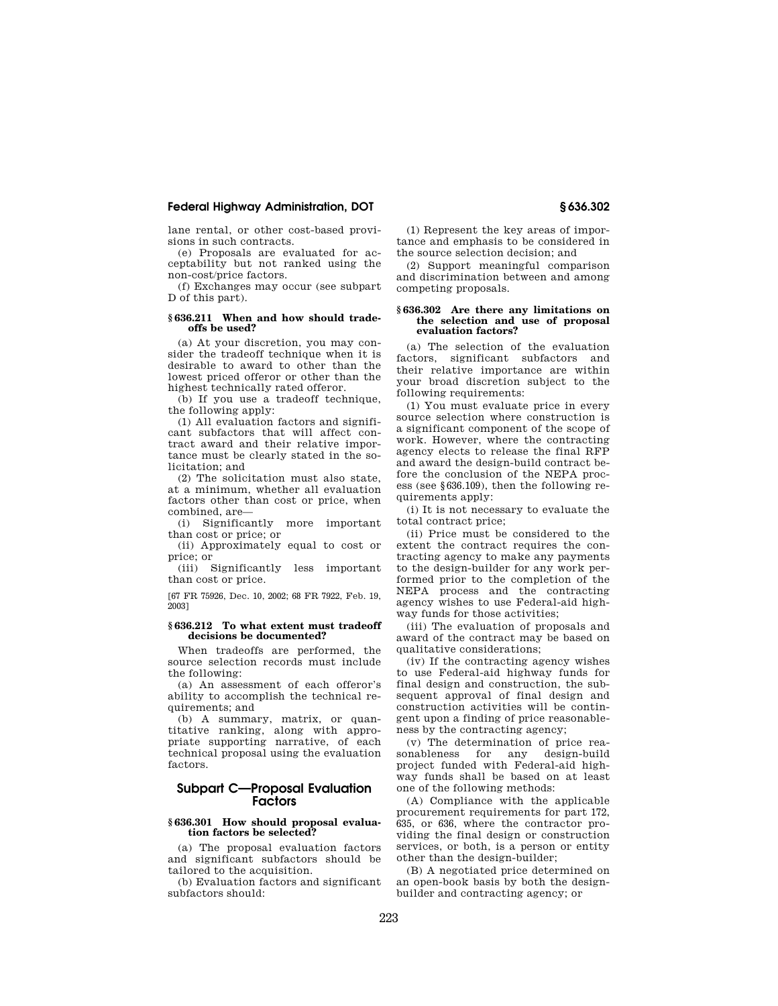lane rental, or other cost-based provisions in such contracts.

(e) Proposals are evaluated for acceptability but not ranked using the non-cost/price factors.

(f) Exchanges may occur (see subpart D of this part).

## **§ 636.211 When and how should tradeoffs be used?**

(a) At your discretion, you may consider the tradeoff technique when it is desirable to award to other than the lowest priced offeror or other than the highest technically rated offeror.

(b) If you use a tradeoff technique, the following apply:

(1) All evaluation factors and significant subfactors that will affect contract award and their relative importance must be clearly stated in the solicitation; and

(2) The solicitation must also state, at a minimum, whether all evaluation factors other than cost or price, when combined, are—

(i) Significantly more important than cost or price; or

(ii) Approximately equal to cost or price; or

(iii) Significantly less important than cost or price.

[67 FR 75926, Dec. 10, 2002; 68 FR 7922, Feb. 19, 2003]

## **§ 636.212 To what extent must tradeoff decisions be documented?**

When tradeoffs are performed, the source selection records must include the following:

(a) An assessment of each offeror's ability to accomplish the technical requirements; and

(b) A summary, matrix, or quantitative ranking, along with appropriate supporting narrative, of each technical proposal using the evaluation factors.

# **Subpart C—Proposal Evaluation Factors**

# **§ 636.301 How should proposal evaluation factors be selected?**

(a) The proposal evaluation factors and significant subfactors should be tailored to the acquisition.

(b) Evaluation factors and significant subfactors should:

(1) Represent the key areas of importance and emphasis to be considered in the source selection decision; and

(2) Support meaningful comparison and discrimination between and among competing proposals.

#### **§ 636.302 Are there any limitations on the selection and use of proposal evaluation factors?**

(a) The selection of the evaluation factors, significant subfactors and their relative importance are within your broad discretion subject to the following requirements:

(1) You must evaluate price in every source selection where construction is a significant component of the scope of work. However, where the contracting agency elects to release the final RFP and award the design-build contract before the conclusion of the NEPA process (see §636.109), then the following requirements apply:

(i) It is not necessary to evaluate the total contract price;

(ii) Price must be considered to the extent the contract requires the contracting agency to make any payments to the design-builder for any work performed prior to the completion of the NEPA process and the contracting agency wishes to use Federal-aid highway funds for those activities;

(iii) The evaluation of proposals and award of the contract may be based on qualitative considerations;

(iv) If the contracting agency wishes to use Federal-aid highway funds for final design and construction, the subsequent approval of final design and construction activities will be contingent upon a finding of price reasonableness by the contracting agency;

(v) The determination of price rea-<br>sonableness for any design-build design-build project funded with Federal-aid highway funds shall be based on at least one of the following methods:

(A) Compliance with the applicable procurement requirements for part 172, 635, or 636, where the contractor providing the final design or construction services, or both, is a person or entity other than the design-builder;

(B) A negotiated price determined on an open-book basis by both the designbuilder and contracting agency; or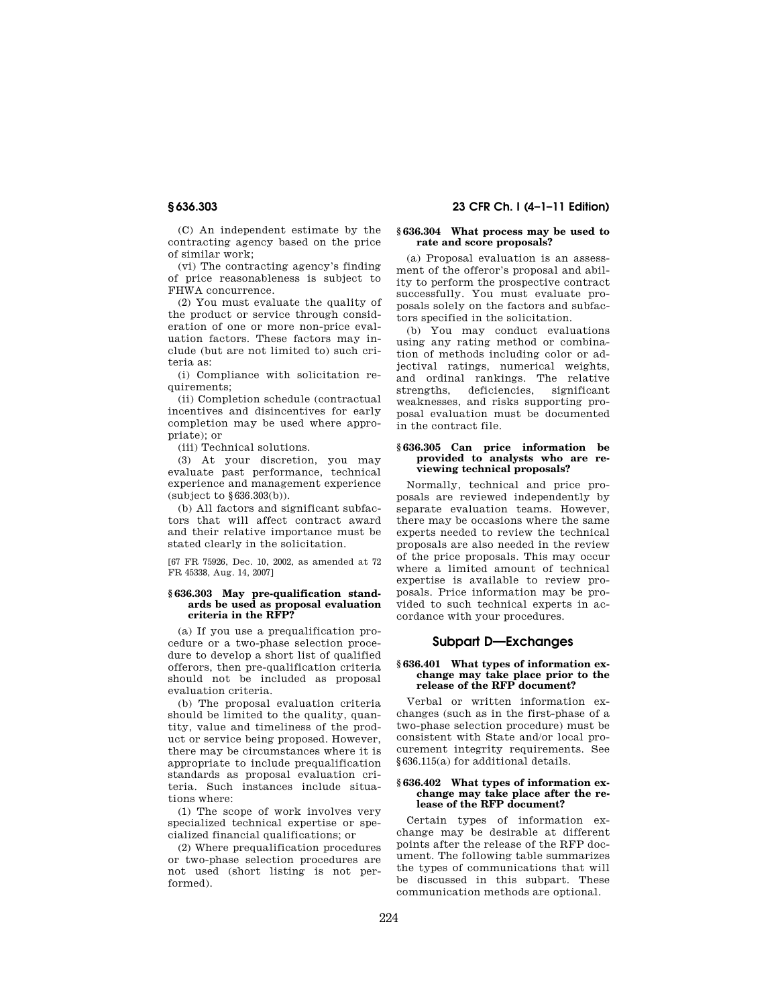(C) An independent estimate by the contracting agency based on the price of similar work;

(vi) The contracting agency's finding of price reasonableness is subject to FHWA concurrence.

(2) You must evaluate the quality of the product or service through consideration of one or more non-price evaluation factors. These factors may include (but are not limited to) such criteria as:

(i) Compliance with solicitation requirements;

(ii) Completion schedule (contractual incentives and disincentives for early completion may be used where appropriate); or

(iii) Technical solutions.

(3) At your discretion, you may evaluate past performance, technical experience and management experience (subject to §636.303(b)).

(b) All factors and significant subfactors that will affect contract award and their relative importance must be stated clearly in the solicitation.

[67 FR 75926, Dec. 10, 2002, as amended at 72 FR 45338, Aug. 14, 2007]

#### **§ 636.303 May pre-qualification standards be used as proposal evaluation criteria in the RFP?**

(a) If you use a prequalification procedure or a two-phase selection procedure to develop a short list of qualified offerors, then pre-qualification criteria should not be included as proposal evaluation criteria.

(b) The proposal evaluation criteria should be limited to the quality, quantity, value and timeliness of the product or service being proposed. However, there may be circumstances where it is appropriate to include prequalification standards as proposal evaluation criteria. Such instances include situations where:

(1) The scope of work involves very specialized technical expertise or specialized financial qualifications; or

(2) Where prequalification procedures or two-phase selection procedures are not used (short listing is not performed).

# **§ 636.303 23 CFR Ch. I (4–1–11 Edition)**

# **§ 636.304 What process may be used to rate and score proposals?**

(a) Proposal evaluation is an assessment of the offeror's proposal and ability to perform the prospective contract successfully. You must evaluate proposals solely on the factors and subfactors specified in the solicitation.

(b) You may conduct evaluations using any rating method or combination of methods including color or adjectival ratings, numerical weights, and ordinal rankings. The relative strengths, deficiencies, weaknesses, and risks supporting proposal evaluation must be documented in the contract file.

# **§ 636.305 Can price information be provided to analysts who are reviewing technical proposals?**

Normally, technical and price proposals are reviewed independently by separate evaluation teams. However, there may be occasions where the same experts needed to review the technical proposals are also needed in the review of the price proposals. This may occur where a limited amount of technical expertise is available to review proposals. Price information may be provided to such technical experts in accordance with your procedures.

# **Subpart D—Exchanges**

#### **§ 636.401 What types of information exchange may take place prior to the release of the RFP document?**

Verbal or written information exchanges (such as in the first-phase of a two-phase selection procedure) must be consistent with State and/or local procurement integrity requirements. See §636.115(a) for additional details.

## **§ 636.402 What types of information exchange may take place after the release of the RFP document?**

Certain types of information exchange may be desirable at different points after the release of the RFP document. The following table summarizes the types of communications that will be discussed in this subpart. These communication methods are optional.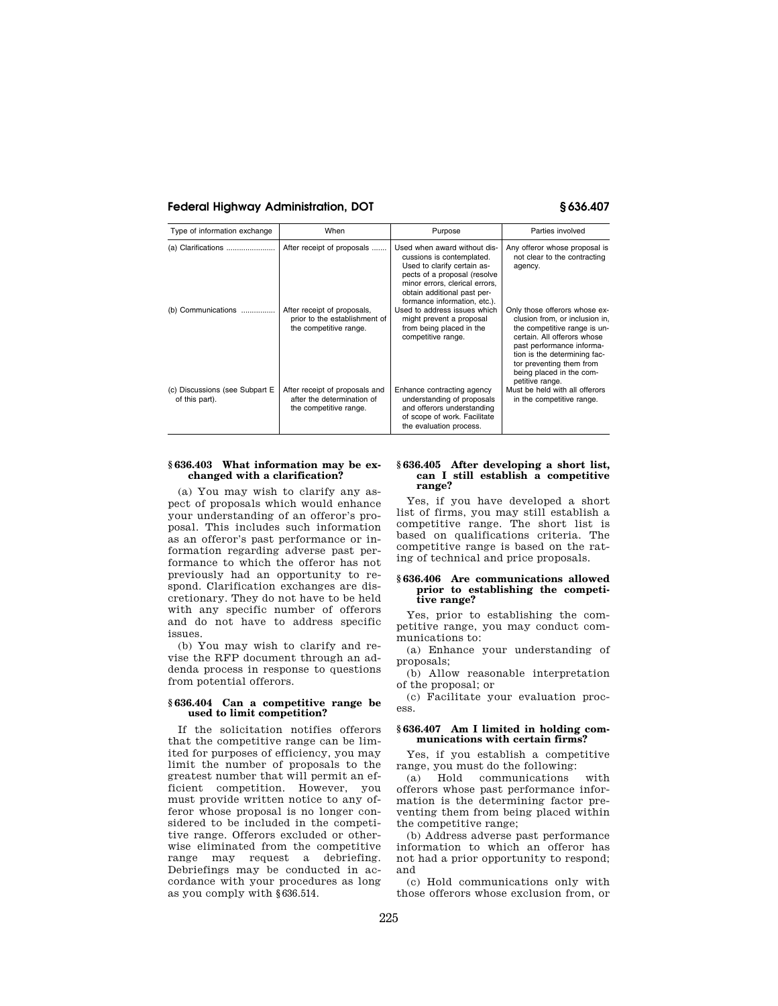| Type of information exchange                     | When                                                                                   | Purpose                                                                                                                                                                                                                   | Parties involved                                                                                                                                                                                                                                                       |
|--------------------------------------------------|----------------------------------------------------------------------------------------|---------------------------------------------------------------------------------------------------------------------------------------------------------------------------------------------------------------------------|------------------------------------------------------------------------------------------------------------------------------------------------------------------------------------------------------------------------------------------------------------------------|
| (a) Clarifications                               | After receipt of proposals                                                             | Used when award without dis-<br>cussions is contemplated.<br>Used to clarify certain as-<br>pects of a proposal (resolve<br>minor errors, clerical errors,<br>obtain additional past per-<br>formance information, etc.). | Any offeror whose proposal is<br>not clear to the contracting<br>agency.                                                                                                                                                                                               |
| (b) Communications                               | After receipt of proposals,<br>prior to the establishment of<br>the competitive range. | Used to address issues which<br>might prevent a proposal<br>from being placed in the<br>competitive range.                                                                                                                | Only those offerors whose ex-<br>clusion from, or inclusion in,<br>the competitive range is un-<br>certain. All offerors whose<br>past performance informa-<br>tion is the determining fac-<br>tor preventing them from<br>being placed in the com-<br>petitive range. |
| (c) Discussions (see Subpart E<br>of this part). | After receipt of proposals and<br>after the determination of<br>the competitive range. | Enhance contracting agency<br>understanding of proposals<br>and offerors understanding<br>of scope of work. Facilitate<br>the evaluation process.                                                                         | Must be held with all offerors<br>in the competitive range.                                                                                                                                                                                                            |

# **§ 636.403 What information may be exchanged with a clarification?**

(a) You may wish to clarify any aspect of proposals which would enhance your understanding of an offeror's proposal. This includes such information as an offeror's past performance or information regarding adverse past performance to which the offeror has not previously had an opportunity to respond. Clarification exchanges are discretionary. They do not have to be held with any specific number of offerors and do not have to address specific issues.

(b) You may wish to clarify and revise the RFP document through an addenda process in response to questions from potential offerors.

# **§ 636.404 Can a competitive range be used to limit competition?**

If the solicitation notifies offerors that the competitive range can be limited for purposes of efficiency, you may limit the number of proposals to the greatest number that will permit an efficient competition. However, you must provide written notice to any offeror whose proposal is no longer considered to be included in the competitive range. Offerors excluded or otherwise eliminated from the competitive range may request a debriefing. Debriefings may be conducted in accordance with your procedures as long as you comply with §636.514.

#### **§ 636.405 After developing a short list, can I still establish a competitive range?**

Yes, if you have developed a short list of firms, you may still establish a competitive range. The short list is based on qualifications criteria. The competitive range is based on the rating of technical and price proposals.

#### **§ 636.406 Are communications allowed prior to establishing the competitive range?**

Yes, prior to establishing the competitive range, you may conduct communications to:

(a) Enhance your understanding of proposals;

(b) Allow reasonable interpretation of the proposal; or

(c) Facilitate your evaluation process.

### **§ 636.407 Am I limited in holding communications with certain firms?**

Yes, if you establish a competitive range, you must do the following:

(a) Hold communications with offerors whose past performance information is the determining factor preventing them from being placed within the competitive range;

(b) Address adverse past performance information to which an offeror has not had a prior opportunity to respond; and

(c) Hold communications only with those offerors whose exclusion from, or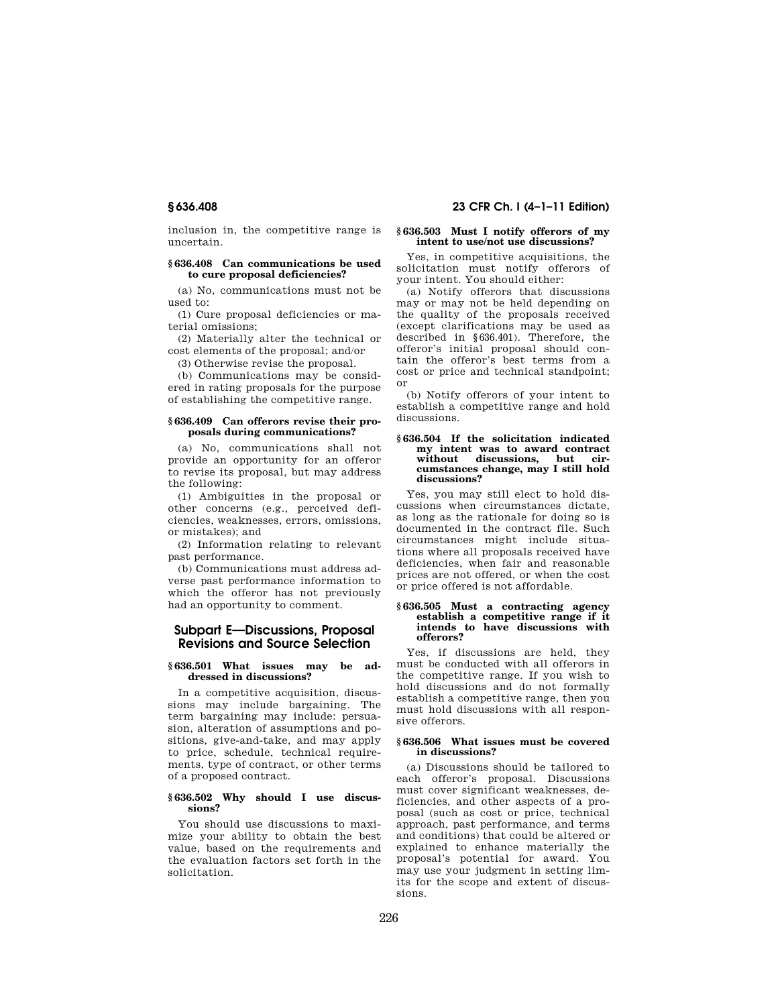inclusion in, the competitive range is uncertain.

## **§ 636.408 Can communications be used to cure proposal deficiencies?**

(a) No, communications must not be used to:

(1) Cure proposal deficiencies or material omissions;

(2) Materially alter the technical or cost elements of the proposal; and/or

(3) Otherwise revise the proposal.

(b) Communications may be considered in rating proposals for the purpose of establishing the competitive range.

#### **§ 636.409 Can offerors revise their proposals during communications?**

(a) No, communications shall not provide an opportunity for an offeror to revise its proposal, but may address the following:

(1) Ambiguities in the proposal or other concerns (e.g., perceived deficiencies, weaknesses, errors, omissions, or mistakes); and

(2) Information relating to relevant past performance.

(b) Communications must address adverse past performance information to which the offeror has not previously had an opportunity to comment.

# **Subpart E—Discussions, Proposal Revisions and Source Selection**

## **§ 636.501 What issues may be addressed in discussions?**

In a competitive acquisition, discussions may include bargaining. The term bargaining may include: persuasion, alteration of assumptions and positions, give-and-take, and may apply to price, schedule, technical requirements, type of contract, or other terms of a proposed contract.

### **§ 636.502 Why should I use discussions?**

You should use discussions to maximize your ability to obtain the best value, based on the requirements and the evaluation factors set forth in the solicitation.

# **§ 636.408 23 CFR Ch. I (4–1–11 Edition)**

## **§ 636.503 Must I notify offerors of my intent to use/not use discussions?**

Yes, in competitive acquisitions, the solicitation must notify offerors of your intent. You should either:

(a) Notify offerors that discussions may or may not be held depending on the quality of the proposals received (except clarifications may be used as described in §636.401). Therefore, the offeror's initial proposal should contain the offeror's best terms from a cost or price and technical standpoint; or

(b) Notify offerors of your intent to establish a competitive range and hold discussions.

#### **§ 636.504 If the solicitation indicated my intent was to award contract**  without discussions, **cumstances change, may I still hold discussions?**

Yes, you may still elect to hold discussions when circumstances dictate, as long as the rationale for doing so is documented in the contract file. Such circumstances might include situations where all proposals received have deficiencies, when fair and reasonable prices are not offered, or when the cost or price offered is not affordable.

#### **§ 636.505 Must a contracting agency establish a competitive range if it intends to have discussions with offerors?**

Yes, if discussions are held, they must be conducted with all offerors in the competitive range. If you wish to hold discussions and do not formally establish a competitive range, then you must hold discussions with all responsive offerors.

## **§ 636.506 What issues must be covered in discussions?**

(a) Discussions should be tailored to each offeror's proposal. Discussions must cover significant weaknesses, deficiencies, and other aspects of a proposal (such as cost or price, technical approach, past performance, and terms and conditions) that could be altered or explained to enhance materially the proposal's potential for award. You may use your judgment in setting limits for the scope and extent of discussions.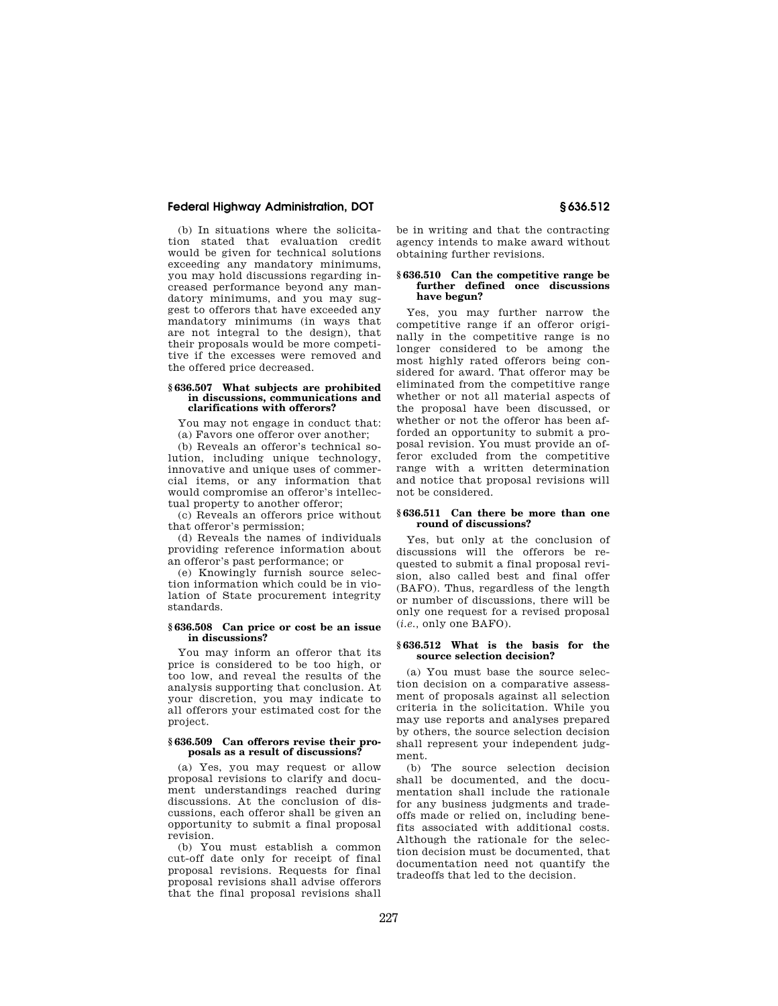(b) In situations where the solicitation stated that evaluation credit would be given for technical solutions exceeding any mandatory minimums, you may hold discussions regarding increased performance beyond any mandatory minimums, and you may suggest to offerors that have exceeded any mandatory minimums (in ways that are not integral to the design), that their proposals would be more competitive if the excesses were removed and the offered price decreased.

#### **§ 636.507 What subjects are prohibited in discussions, communications and clarifications with offerors?**

You may not engage in conduct that: (a) Favors one offeror over another;

(b) Reveals an offeror's technical solution, including unique technology, innovative and unique uses of commercial items, or any information that would compromise an offeror's intellectual property to another offeror;

(c) Reveals an offerors price without that offeror's permission;

(d) Reveals the names of individuals providing reference information about an offeror's past performance; or

(e) Knowingly furnish source selection information which could be in violation of State procurement integrity standards.

### **§ 636.508 Can price or cost be an issue in discussions?**

You may inform an offeror that its price is considered to be too high, or too low, and reveal the results of the analysis supporting that conclusion. At your discretion, you may indicate to all offerors your estimated cost for the project.

## **§ 636.509 Can offerors revise their proposals as a result of discussions?**

(a) Yes, you may request or allow proposal revisions to clarify and document understandings reached during discussions. At the conclusion of discussions, each offeror shall be given an opportunity to submit a final proposal revision.

(b) You must establish a common cut-off date only for receipt of final proposal revisions. Requests for final proposal revisions shall advise offerors that the final proposal revisions shall

be in writing and that the contracting agency intends to make award without obtaining further revisions.

#### **§ 636.510 Can the competitive range be further defined once discussions have begun?**

Yes, you may further narrow the competitive range if an offeror originally in the competitive range is no longer considered to be among the most highly rated offerors being considered for award. That offeror may be eliminated from the competitive range whether or not all material aspects of the proposal have been discussed, or whether or not the offeror has been afforded an opportunity to submit a proposal revision. You must provide an offeror excluded from the competitive range with a written determination and notice that proposal revisions will not be considered.

### **§ 636.511 Can there be more than one round of discussions?**

Yes, but only at the conclusion of discussions will the offerors be requested to submit a final proposal revision, also called best and final offer (BAFO). Thus, regardless of the length or number of discussions, there will be only one request for a revised proposal (*i.e.,* only one BAFO).

# **§ 636.512 What is the basis for the source selection decision?**

(a) You must base the source selection decision on a comparative assessment of proposals against all selection criteria in the solicitation. While you may use reports and analyses prepared by others, the source selection decision shall represent your independent judgment.

(b) The source selection decision shall be documented, and the documentation shall include the rationale for any business judgments and tradeoffs made or relied on, including benefits associated with additional costs. Although the rationale for the selection decision must be documented, that documentation need not quantify the tradeoffs that led to the decision.